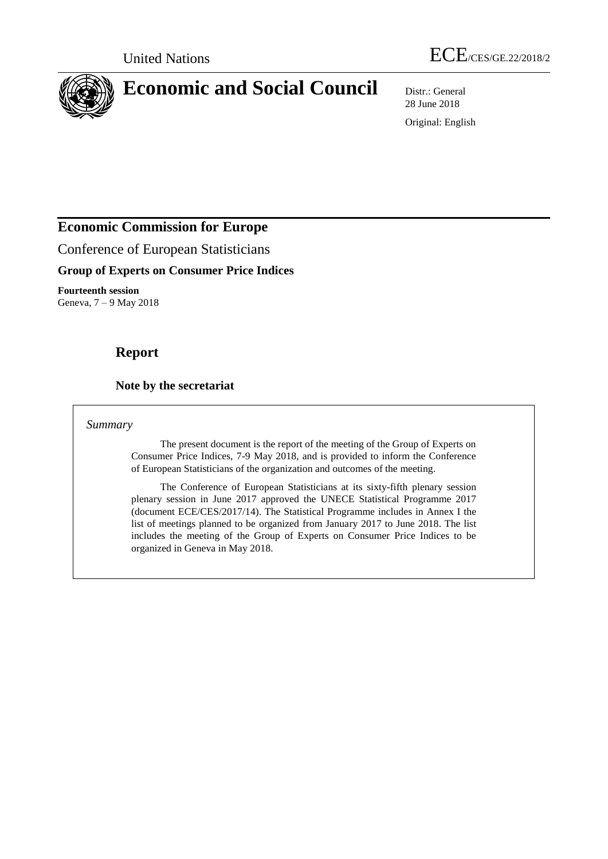



28 June 2018

Original: English

# **Economic Commission for Europe**

Conference of European Statisticians

# **Group of Experts on Consumer Price Indices**

**Fourteenth session** Geneva, 7 – 9 May 2018

# **Report**

# **Note by the secretariat**

## *Summary*

The present document is the report of the meeting of the Group of Experts on Consumer Price Indices, 7-9 May 2018, and is provided to inform the Conference of European Statisticians of the organization and outcomes of the meeting.

The Conference of European Statisticians at its sixty-fifth plenary session plenary session in June 2017 approved the UNECE Statistical Programme 2017 (document ECE/CES/2017/14). The Statistical Programme includes in Annex I the list of meetings planned to be organized from January 2017 to June 2018. The list includes the meeting of the Group of Experts on Consumer Price Indices to be organized in Geneva in May 2018.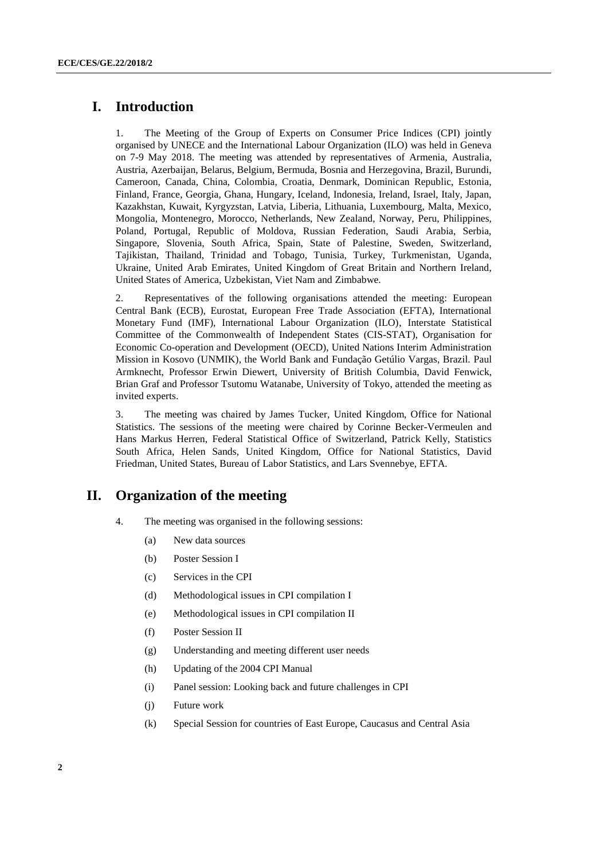# **I. Introduction**

1. The Meeting of the Group of Experts on Consumer Price Indices (CPI) jointly organised by UNECE and the International Labour Organization (ILO) was held in Geneva on 7-9 May 2018. The meeting was attended by representatives of Armenia, Australia, Austria, Azerbaijan, Belarus, Belgium, Bermuda, Bosnia and Herzegovina, Brazil, Burundi, Cameroon, Canada, China, Colombia, Croatia, Denmark, Dominican Republic, Estonia, Finland, France, Georgia, Ghana, Hungary, Iceland, Indonesia, Ireland, Israel, Italy, Japan, Kazakhstan, Kuwait, Kyrgyzstan, Latvia, Liberia, Lithuania, Luxembourg, Malta, Mexico, Mongolia, Montenegro, Morocco, Netherlands, New Zealand, Norway, Peru, Philippines, Poland, Portugal, Republic of Moldova, Russian Federation, Saudi Arabia, Serbia, Singapore, Slovenia, South Africa, Spain, State of Palestine, Sweden, Switzerland, Tajikistan, Thailand, Trinidad and Tobago, Tunisia, Turkey, Turkmenistan, Uganda, Ukraine, United Arab Emirates, United Kingdom of Great Britain and Northern Ireland, United States of America, Uzbekistan, Viet Nam and Zimbabwe.

2. Representatives of the following organisations attended the meeting: European Central Bank (ECB), Eurostat, European Free Trade Association (EFTA), International Monetary Fund (IMF), International Labour Organization (ILO), Interstate Statistical Committee of the Commonwealth of Independent States (CIS-STAT), Organisation for Economic Co-operation and Development (OECD), United Nations Interim Administration Mission in Kosovo (UNMIK), the World Bank and Fundação Getúlio Vargas, Brazil. Paul Armknecht, Professor Erwin Diewert, University of British Columbia, David Fenwick, Brian Graf and Professor Tsutomu Watanabe, University of Tokyo, attended the meeting as invited experts.

3. The meeting was chaired by James Tucker, United Kingdom, Office for National Statistics. The sessions of the meeting were chaired by Corinne Becker-Vermeulen and Hans Markus Herren, Federal Statistical Office of Switzerland, Patrick Kelly, Statistics South Africa, Helen Sands, United Kingdom, Office for National Statistics, David Friedman, United States, Bureau of Labor Statistics, and Lars Svennebye, EFTA.

# **II. Organization of the meeting**

- 4. The meeting was organised in the following sessions:
	- (a) New data sources
	- (b) Poster Session I
	- (c) Services in the CPI
	- (d) Methodological issues in CPI compilation I
	- (e) Methodological issues in CPI compilation II
	- (f) Poster Session II
	- (g) Understanding and meeting different user needs
	- (h) Updating of the 2004 CPI Manual
	- (i) Panel session: Looking back and future challenges in CPI
	- (j) Future work
	- (k) Special Session for countries of East Europe, Caucasus and Central Asia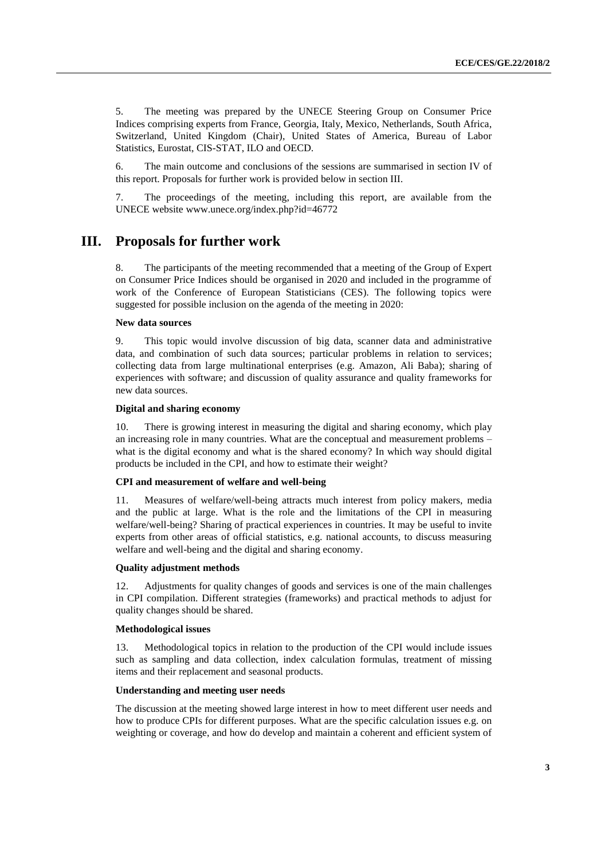5. The meeting was prepared by the UNECE Steering Group on Consumer Price Indices comprising experts from France, Georgia, Italy, Mexico, Netherlands, South Africa, Switzerland, United Kingdom (Chair), United States of America, Bureau of Labor Statistics, Eurostat, CIS-STAT, ILO and OECD.

6. The main outcome and conclusions of the sessions are summarised in section IV of this report. Proposals for further work is provided below in section III.

7. The proceedings of the meeting, including this report, are available from the UNECE website [www.unece.org/index.php?id=46772](http://www.unece.org/index.php?id=46772)

# **III. Proposals for further work**

8. The participants of the meeting recommended that a meeting of the Group of Expert on Consumer Price Indices should be organised in 2020 and included in the programme of work of the Conference of European Statisticians (CES). The following topics were suggested for possible inclusion on the agenda of the meeting in 2020:

#### **New data sources**

9. This topic would involve discussion of big data, scanner data and administrative data, and combination of such data sources; particular problems in relation to services; collecting data from large multinational enterprises (e.g. Amazon, Ali Baba); sharing of experiences with software; and discussion of quality assurance and quality frameworks for new data sources.

#### **Digital and sharing economy**

There is growing interest in measuring the digital and sharing economy, which play an increasing role in many countries. What are the conceptual and measurement problems – what is the digital economy and what is the shared economy? In which way should digital products be included in the CPI, and how to estimate their weight?

#### **CPI and measurement of welfare and well-being**

11. Measures of welfare/well-being attracts much interest from policy makers, media and the public at large. What is the role and the limitations of the CPI in measuring welfare/well-being? Sharing of practical experiences in countries. It may be useful to invite experts from other areas of official statistics, e.g. national accounts, to discuss measuring welfare and well-being and the digital and sharing economy.

#### **Quality adjustment methods**

12. Adjustments for quality changes of goods and services is one of the main challenges in CPI compilation. Different strategies (frameworks) and practical methods to adjust for quality changes should be shared.

#### **Methodological issues**

13. Methodological topics in relation to the production of the CPI would include issues such as sampling and data collection, index calculation formulas, treatment of missing items and their replacement and seasonal products.

#### **Understanding and meeting user needs**

The discussion at the meeting showed large interest in how to meet different user needs and how to produce CPIs for different purposes. What are the specific calculation issues e.g. on weighting or coverage, and how do develop and maintain a coherent and efficient system of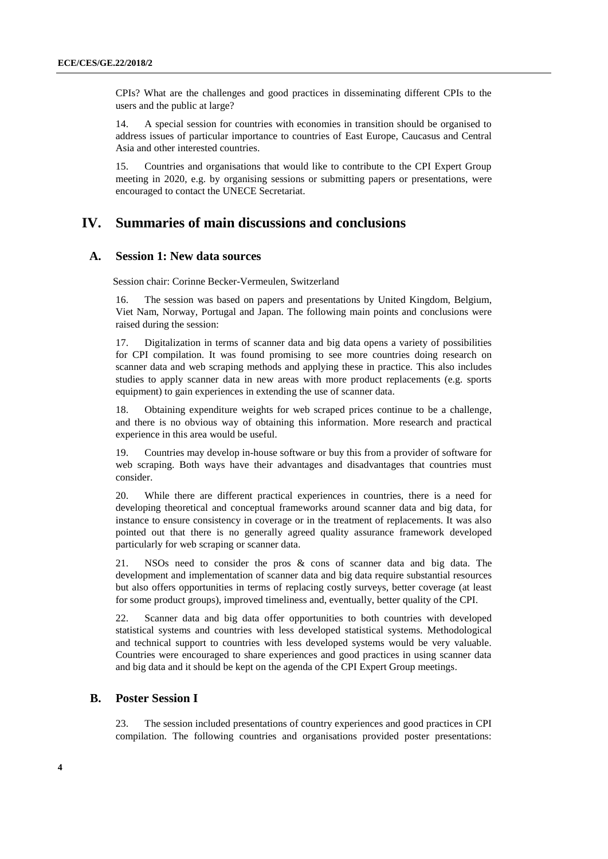CPIs? What are the challenges and good practices in disseminating different CPIs to the users and the public at large?

14. A special session for countries with economies in transition should be organised to address issues of particular importance to countries of East Europe, Caucasus and Central Asia and other interested countries.

15. Countries and organisations that would like to contribute to the CPI Expert Group meeting in 2020, e.g. by organising sessions or submitting papers or presentations, were encouraged to contact the UNECE Secretariat.

# **IV. Summaries of main discussions and conclusions**

### **A. Session 1: New data sources**

Session chair: Corinne Becker-Vermeulen, Switzerland

16. The session was based on papers and presentations by United Kingdom, Belgium, Viet Nam, Norway, Portugal and Japan. The following main points and conclusions were raised during the session:

17. Digitalization in terms of scanner data and big data opens a variety of possibilities for CPI compilation. It was found promising to see more countries doing research on scanner data and web scraping methods and applying these in practice. This also includes studies to apply scanner data in new areas with more product replacements (e.g. sports equipment) to gain experiences in extending the use of scanner data.

18. Obtaining expenditure weights for web scraped prices continue to be a challenge, and there is no obvious way of obtaining this information. More research and practical experience in this area would be useful.

19. Countries may develop in-house software or buy this from a provider of software for web scraping. Both ways have their advantages and disadvantages that countries must consider.

20. While there are different practical experiences in countries, there is a need for developing theoretical and conceptual frameworks around scanner data and big data, for instance to ensure consistency in coverage or in the treatment of replacements. It was also pointed out that there is no generally agreed quality assurance framework developed particularly for web scraping or scanner data.

21. NSOs need to consider the pros & cons of scanner data and big data. The development and implementation of scanner data and big data require substantial resources but also offers opportunities in terms of replacing costly surveys, better coverage (at least for some product groups), improved timeliness and, eventually, better quality of the CPI.

22. Scanner data and big data offer opportunities to both countries with developed statistical systems and countries with less developed statistical systems. Methodological and technical support to countries with less developed systems would be very valuable. Countries were encouraged to share experiences and good practices in using scanner data and big data and it should be kept on the agenda of the CPI Expert Group meetings.

### **B. Poster Session I**

23. The session included presentations of country experiences and good practices in CPI compilation. The following countries and organisations provided poster presentations: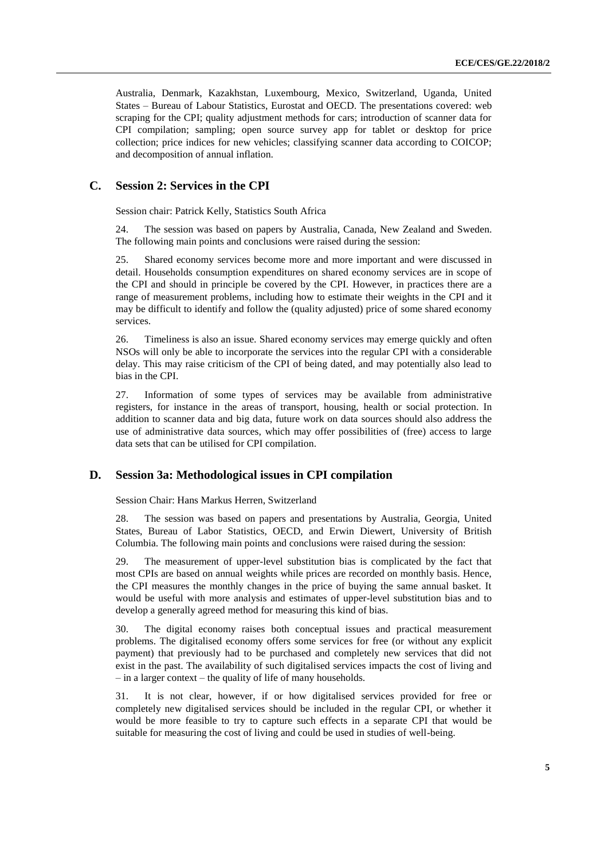Australia, Denmark, Kazakhstan, Luxembourg, Mexico, Switzerland, Uganda, United States – Bureau of Labour Statistics, Eurostat and OECD. The presentations covered: web scraping for the CPI; quality adjustment methods for cars; introduction of scanner data for CPI compilation; sampling; open source survey app for tablet or desktop for price collection; price indices for new vehicles; classifying scanner data according to COICOP; and decomposition of annual inflation.

## **C. Session 2: Services in the CPI**

Session chair: Patrick Kelly, Statistics South Africa

24. The session was based on papers by Australia, Canada, New Zealand and Sweden. The following main points and conclusions were raised during the session:

25. Shared economy services become more and more important and were discussed in detail. Households consumption expenditures on shared economy services are in scope of the CPI and should in principle be covered by the CPI. However, in practices there are a range of measurement problems, including how to estimate their weights in the CPI and it may be difficult to identify and follow the (quality adjusted) price of some shared economy services.

26. Timeliness is also an issue. Shared economy services may emerge quickly and often NSOs will only be able to incorporate the services into the regular CPI with a considerable delay. This may raise criticism of the CPI of being dated, and may potentially also lead to bias in the CPI.

27. Information of some types of services may be available from administrative registers, for instance in the areas of transport, housing, health or social protection. In addition to scanner data and big data, future work on data sources should also address the use of administrative data sources, which may offer possibilities of (free) access to large data sets that can be utilised for CPI compilation.

### **D. Session 3a: Methodological issues in CPI compilation**

Session Chair: Hans Markus Herren, Switzerland

28. The session was based on papers and presentations by Australia, Georgia, United States, Bureau of Labor Statistics, OECD, and Erwin Diewert, University of British Columbia. The following main points and conclusions were raised during the session:

29. The measurement of upper-level substitution bias is complicated by the fact that most CPIs are based on annual weights while prices are recorded on monthly basis. Hence, the CPI measures the monthly changes in the price of buying the same annual basket. It would be useful with more analysis and estimates of upper-level substitution bias and to develop a generally agreed method for measuring this kind of bias.

30. The digital economy raises both conceptual issues and practical measurement problems. The digitalised economy offers some services for free (or without any explicit payment) that previously had to be purchased and completely new services that did not exist in the past. The availability of such digitalised services impacts the cost of living and – in a larger context – the quality of life of many households.

31. It is not clear, however, if or how digitalised services provided for free or completely new digitalised services should be included in the regular CPI, or whether it would be more feasible to try to capture such effects in a separate CPI that would be suitable for measuring the cost of living and could be used in studies of well-being.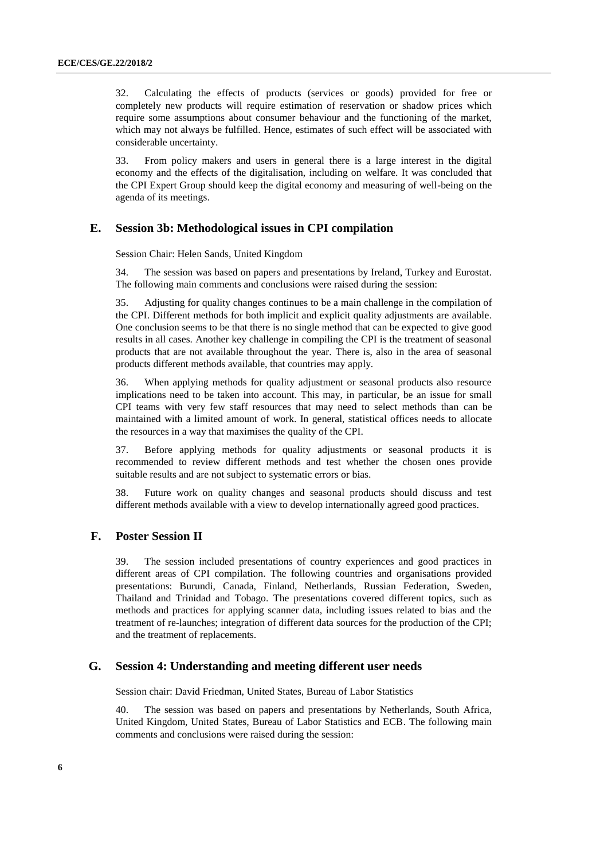32. Calculating the effects of products (services or goods) provided for free or completely new products will require estimation of reservation or shadow prices which require some assumptions about consumer behaviour and the functioning of the market, which may not always be fulfilled. Hence, estimates of such effect will be associated with considerable uncertainty.

33. From policy makers and users in general there is a large interest in the digital economy and the effects of the digitalisation, including on welfare. It was concluded that the CPI Expert Group should keep the digital economy and measuring of well-being on the agenda of its meetings.

### **E. Session 3b: Methodological issues in CPI compilation**

Session Chair: Helen Sands, United Kingdom

34. The session was based on papers and presentations by Ireland, Turkey and Eurostat. The following main comments and conclusions were raised during the session:

35. Adjusting for quality changes continues to be a main challenge in the compilation of the CPI. Different methods for both implicit and explicit quality adjustments are available. One conclusion seems to be that there is no single method that can be expected to give good results in all cases. Another key challenge in compiling the CPI is the treatment of seasonal products that are not available throughout the year. There is, also in the area of seasonal products different methods available, that countries may apply.

36. When applying methods for quality adjustment or seasonal products also resource implications need to be taken into account. This may, in particular, be an issue for small CPI teams with very few staff resources that may need to select methods than can be maintained with a limited amount of work. In general, statistical offices needs to allocate the resources in a way that maximises the quality of the CPI.

37. Before applying methods for quality adjustments or seasonal products it is recommended to review different methods and test whether the chosen ones provide suitable results and are not subject to systematic errors or bias.

38. Future work on quality changes and seasonal products should discuss and test different methods available with a view to develop internationally agreed good practices.

## **F. Poster Session II**

39. The session included presentations of country experiences and good practices in different areas of CPI compilation. The following countries and organisations provided presentations: Burundi, Canada, Finland, Netherlands, Russian Federation, Sweden, Thailand and Trinidad and Tobago. The presentations covered different topics, such as methods and practices for applying scanner data, including issues related to bias and the treatment of re-launches; integration of different data sources for the production of the CPI; and the treatment of replacements.

### **G. Session 4: Understanding and meeting different user needs**

Session chair: David Friedman, United States, Bureau of Labor Statistics

40. The session was based on papers and presentations by Netherlands, South Africa, United Kingdom, United States, Bureau of Labor Statistics and ECB. The following main comments and conclusions were raised during the session: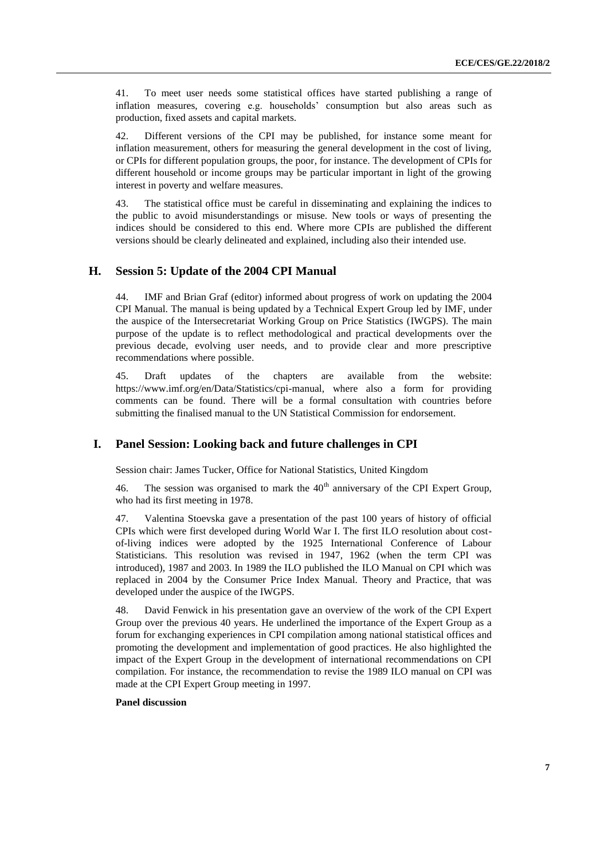41. To meet user needs some statistical offices have started publishing a range of inflation measures, covering e.g. households' consumption but also areas such as production, fixed assets and capital markets.

42. Different versions of the CPI may be published, for instance some meant for inflation measurement, others for measuring the general development in the cost of living, or CPIs for different population groups, the poor, for instance. The development of CPIs for different household or income groups may be particular important in light of the growing interest in poverty and welfare measures.

43. The statistical office must be careful in disseminating and explaining the indices to the public to avoid misunderstandings or misuse. New tools or ways of presenting the indices should be considered to this end. Where more CPIs are published the different versions should be clearly delineated and explained, including also their intended use.

### **H. Session 5: Update of the 2004 CPI Manual**

44. IMF and Brian Graf (editor) informed about progress of work on updating the 2004 CPI Manual. The manual is being updated by a Technical Expert Group led by IMF, under the auspice of the Intersecretariat Working Group on Price Statistics (IWGPS). The main purpose of the update is to reflect methodological and practical developments over the previous decade, evolving user needs, and to provide clear and more prescriptive recommendations where possible.

45. Draft updates of the chapters are available from the website: [https://www.imf.org/en/Data/Statistics/cpi-manual,](https://www.imf.org/en/Data/Statistics/cpi-manual) where also a form for providing comments can be found. There will be a formal consultation with countries before submitting the finalised manual to the UN Statistical Commission for endorsement.

## **I. Panel Session: Looking back and future challenges in CPI**

Session chair: James Tucker, Office for National Statistics, United Kingdom

46. The session was organised to mark the  $40<sup>th</sup>$  anniversary of the CPI Expert Group, who had its first meeting in 1978.

47. Valentina Stoevska gave a presentation of the past 100 years of history of official CPIs which were first developed during World War I. The first ILO resolution about costof-living indices were adopted by the 1925 International Conference of Labour Statisticians. This resolution was revised in 1947, 1962 (when the term CPI was introduced), 1987 and 2003. In 1989 the ILO published the ILO Manual on CPI which was replaced in 2004 by the Consumer Price Index Manual. Theory and Practice, that was developed under the auspice of the IWGPS.

48. David Fenwick in his presentation gave an overview of the work of the CPI Expert Group over the previous 40 years. He underlined the importance of the Expert Group as a forum for exchanging experiences in CPI compilation among national statistical offices and promoting the development and implementation of good practices. He also highlighted the impact of the Expert Group in the development of international recommendations on CPI compilation. For instance, the recommendation to revise the 1989 ILO manual on CPI was made at the CPI Expert Group meeting in 1997.

#### **Panel discussion**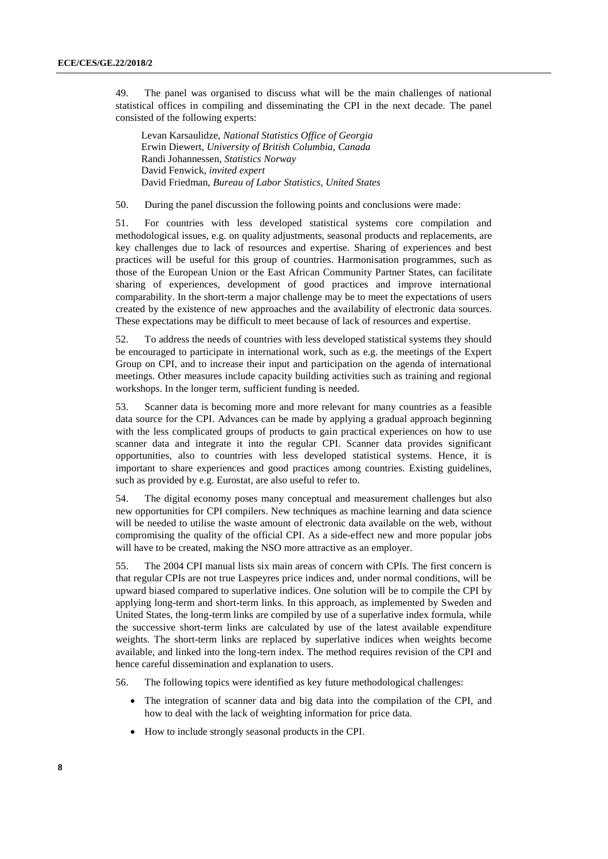49. The panel was organised to discuss what will be the main challenges of national statistical offices in compiling and disseminating the CPI in the next decade. The panel consisted of the following experts:

Levan Karsaulidze, *National Statistics Office of Georgia*  Erwin Diewert, *University of British Columbia, Canada* Randi Johannessen, *Statistics Norway* David Fenwick, *invited expert* David Friedman, *Bureau of Labor Statistics, United States*

50. During the panel discussion the following points and conclusions were made:

51. For countries with less developed statistical systems core compilation and methodological issues, e.g. on quality adjustments, seasonal products and replacements, are key challenges due to lack of resources and expertise. Sharing of experiences and best practices will be useful for this group of countries. Harmonisation programmes, such as those of the European Union or the East African Community Partner States, can facilitate sharing of experiences, development of good practices and improve international comparability. In the short-term a major challenge may be to meet the expectations of users created by the existence of new approaches and the availability of electronic data sources. These expectations may be difficult to meet because of lack of resources and expertise.

52. To address the needs of countries with less developed statistical systems they should be encouraged to participate in international work, such as e.g. the meetings of the Expert Group on CPI, and to increase their input and participation on the agenda of international meetings. Other measures include capacity building activities such as training and regional workshops. In the longer term, sufficient funding is needed.

53. Scanner data is becoming more and more relevant for many countries as a feasible data source for the CPI. Advances can be made by applying a gradual approach beginning with the less complicated groups of products to gain practical experiences on how to use scanner data and integrate it into the regular CPI. Scanner data provides significant opportunities, also to countries with less developed statistical systems. Hence, it is important to share experiences and good practices among countries. Existing guidelines, such as provided by e.g. Eurostat, are also useful to refer to.

54. The digital economy poses many conceptual and measurement challenges but also new opportunities for CPI compilers. New techniques as machine learning and data science will be needed to utilise the waste amount of electronic data available on the web, without compromising the quality of the official CPI. As a side-effect new and more popular jobs will have to be created, making the NSO more attractive as an employer.

55. The 2004 CPI manual lists six main areas of concern with CPIs. The first concern is that regular CPIs are not true Laspeyres price indices and, under normal conditions, will be upward biased compared to superlative indices. One solution will be to compile the CPI by applying long-term and short-term links. In this approach, as implemented by Sweden and United States, the long-term links are compiled by use of a superlative index formula, while the successive short-term links are calculated by use of the latest available expenditure weights. The short-term links are replaced by superlative indices when weights become available, and linked into the long-tern index. The method requires revision of the CPI and hence careful dissemination and explanation to users.

56. The following topics were identified as key future methodological challenges:

- The integration of scanner data and big data into the compilation of the CPI, and how to deal with the lack of weighting information for price data.
- How to include strongly seasonal products in the CPI.